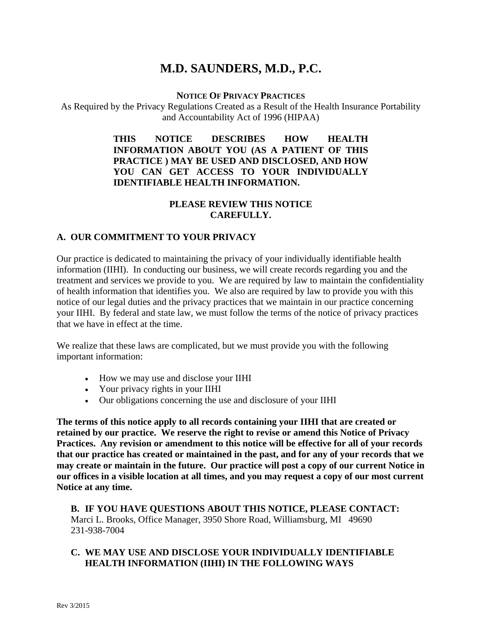# **M.D. SAUNDERS, M.D., P.C.**

#### **NOTICE OF PRIVACY PRACTICES**

As Required by the Privacy Regulations Created as a Result of the Health Insurance Portability and Accountability Act of 1996 (HIPAA)

#### **THIS NOTICE DESCRIBES HOW HEALTH INFORMATION ABOUT YOU (AS A PATIENT OF THIS PRACTICE ) MAY BE USED AND DISCLOSED, AND HOW YOU CAN GET ACCESS TO YOUR INDIVIDUALLY IDENTIFIABLE HEALTH INFORMATION.**

## **PLEASE REVIEW THIS NOTICE CAREFULLY.**

#### **A. OUR COMMITMENT TO YOUR PRIVACY**

Our practice is dedicated to maintaining the privacy of your individually identifiable health information (IIHI). In conducting our business, we will create records regarding you and the treatment and services we provide to you. We are required by law to maintain the confidentiality of health information that identifies you. We also are required by law to provide you with this notice of our legal duties and the privacy practices that we maintain in our practice concerning your IIHI. By federal and state law, we must follow the terms of the notice of privacy practices that we have in effect at the time.

We realize that these laws are complicated, but we must provide you with the following important information:

- How we may use and disclose your IIHI
- Your privacy rights in your IIHI
- Our obligations concerning the use and disclosure of your IIHI

**The terms of this notice apply to all records containing your IIHI that are created or retained by our practice. We reserve the right to revise or amend this Notice of Privacy Practices. Any revision or amendment to this notice will be effective for all of your records that our practice has created or maintained in the past, and for any of your records that we may create or maintain in the future. Our practice will post a copy of our current Notice in our offices in a visible location at all times, and you may request a copy of our most current Notice at any time.**

**B. IF YOU HAVE QUESTIONS ABOUT THIS NOTICE, PLEASE CONTACT:** Marci L. Brooks, Office Manager, 3950 Shore Road, Williamsburg, MI 49690 231-938-7004

#### **C. WE MAY USE AND DISCLOSE YOUR INDIVIDUALLY IDENTIFIABLE HEALTH INFORMATION (IIHI) IN THE FOLLOWING WAYS**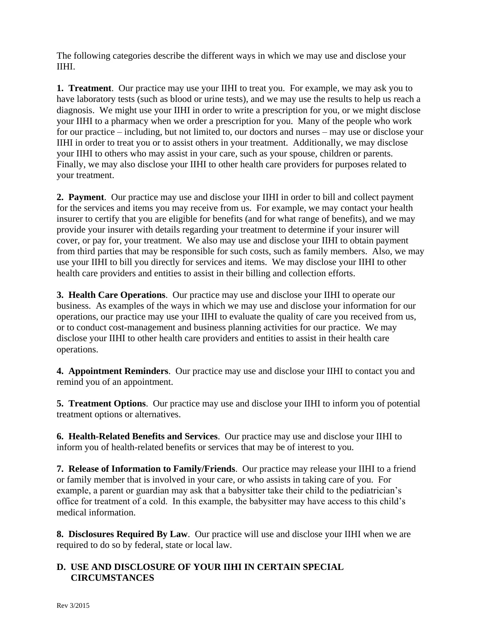The following categories describe the different ways in which we may use and disclose your IIHI.

**1. Treatment**. Our practice may use your IIHI to treat you. For example, we may ask you to have laboratory tests (such as blood or urine tests), and we may use the results to help us reach a diagnosis. We might use your IIHI in order to write a prescription for you, or we might disclose your IIHI to a pharmacy when we order a prescription for you. Many of the people who work for our practice – including, but not limited to, our doctors and nurses – may use or disclose your IIHI in order to treat you or to assist others in your treatment. Additionally, we may disclose your IIHI to others who may assist in your care, such as your spouse, children or parents. Finally, we may also disclose your IIHI to other health care providers for purposes related to your treatment.

**2. Payment**. Our practice may use and disclose your IIHI in order to bill and collect payment for the services and items you may receive from us. For example, we may contact your health insurer to certify that you are eligible for benefits (and for what range of benefits), and we may provide your insurer with details regarding your treatment to determine if your insurer will cover, or pay for, your treatment. We also may use and disclose your IIHI to obtain payment from third parties that may be responsible for such costs, such as family members. Also, we may use your IIHI to bill you directly for services and items. We may disclose your IIHI to other health care providers and entities to assist in their billing and collection efforts.

**3. Health Care Operations**. Our practice may use and disclose your IIHI to operate our business. As examples of the ways in which we may use and disclose your information for our operations, our practice may use your IIHI to evaluate the quality of care you received from us, or to conduct cost-management and business planning activities for our practice. We may disclose your IIHI to other health care providers and entities to assist in their health care operations.

**4. Appointment Reminders**. Our practice may use and disclose your IIHI to contact you and remind you of an appointment.

**5. Treatment Options**. Our practice may use and disclose your IIHI to inform you of potential treatment options or alternatives.

**6. Health-Related Benefits and Services**. Our practice may use and disclose your IIHI to inform you of health-related benefits or services that may be of interest to you.

**7. Release of Information to Family/Friends**. Our practice may release your IIHI to a friend or family member that is involved in your care, or who assists in taking care of you. For example, a parent or guardian may ask that a babysitter take their child to the pediatrician's office for treatment of a cold. In this example, the babysitter may have access to this child's medical information.

**8. Disclosures Required By Law**. Our practice will use and disclose your IIHI when we are required to do so by federal, state or local law.

### **D. USE AND DISCLOSURE OF YOUR IIHI IN CERTAIN SPECIAL CIRCUMSTANCES**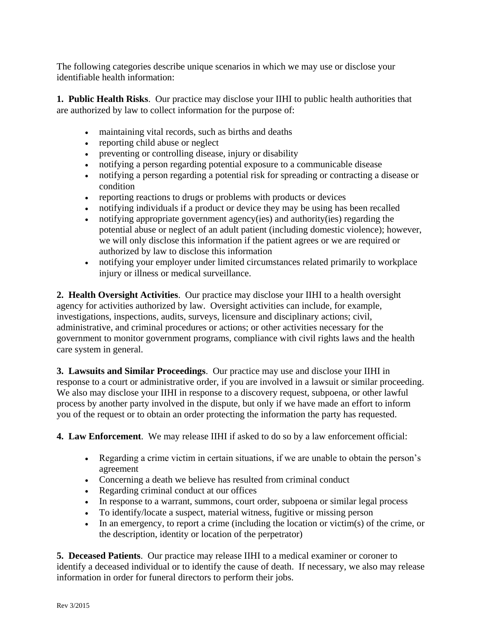The following categories describe unique scenarios in which we may use or disclose your identifiable health information:

**1. Public Health Risks**. Our practice may disclose your IIHI to public health authorities that are authorized by law to collect information for the purpose of:

- maintaining vital records, such as births and deaths
- reporting child abuse or neglect
- preventing or controlling disease, injury or disability
- notifying a person regarding potential exposure to a communicable disease
- notifying a person regarding a potential risk for spreading or contracting a disease or condition
- reporting reactions to drugs or problems with products or devices
- notifying individuals if a product or device they may be using has been recalled
- notifying appropriate government agency(ies) and authority(ies) regarding the potential abuse or neglect of an adult patient (including domestic violence); however, we will only disclose this information if the patient agrees or we are required or authorized by law to disclose this information
- notifying your employer under limited circumstances related primarily to workplace injury or illness or medical surveillance.

**2. Health Oversight Activities**. Our practice may disclose your IIHI to a health oversight agency for activities authorized by law. Oversight activities can include, for example, investigations, inspections, audits, surveys, licensure and disciplinary actions; civil, administrative, and criminal procedures or actions; or other activities necessary for the government to monitor government programs, compliance with civil rights laws and the health care system in general.

**3. Lawsuits and Similar Proceedings**. Our practice may use and disclose your IIHI in response to a court or administrative order, if you are involved in a lawsuit or similar proceeding. We also may disclose your IIHI in response to a discovery request, subpoena, or other lawful process by another party involved in the dispute, but only if we have made an effort to inform you of the request or to obtain an order protecting the information the party has requested.

**4. Law Enforcement**. We may release IIHI if asked to do so by a law enforcement official:

- Regarding a crime victim in certain situations, if we are unable to obtain the person's agreement
- Concerning a death we believe has resulted from criminal conduct
- Regarding criminal conduct at our offices
- In response to a warrant, summons, court order, subpoena or similar legal process
- To identify/locate a suspect, material witness, fugitive or missing person
- In an emergency, to report a crime (including the location or victim(s) of the crime, or the description, identity or location of the perpetrator)

**5. Deceased Patients**. Our practice may release IIHI to a medical examiner or coroner to identify a deceased individual or to identify the cause of death. If necessary, we also may release information in order for funeral directors to perform their jobs.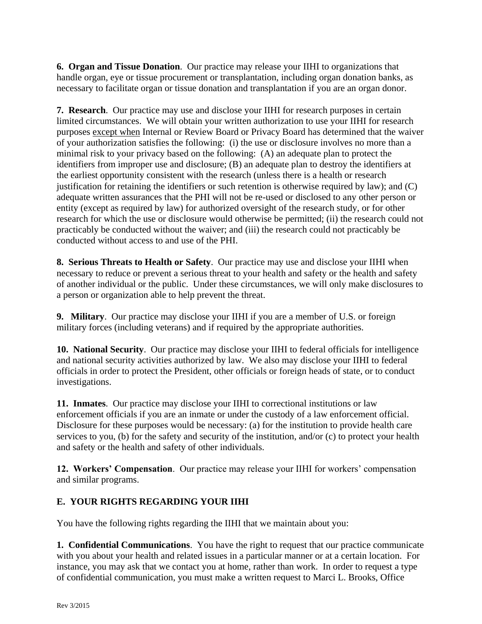**6. Organ and Tissue Donation**. Our practice may release your IIHI to organizations that handle organ, eye or tissue procurement or transplantation, including organ donation banks, as necessary to facilitate organ or tissue donation and transplantation if you are an organ donor.

**7. Research**. Our practice may use and disclose your IIHI for research purposes in certain limited circumstances. We will obtain your written authorization to use your IIHI for research purposes except when Internal or Review Board or Privacy Board has determined that the waiver of your authorization satisfies the following: (i) the use or disclosure involves no more than a minimal risk to your privacy based on the following: (A) an adequate plan to protect the identifiers from improper use and disclosure; (B) an adequate plan to destroy the identifiers at the earliest opportunity consistent with the research (unless there is a health or research justification for retaining the identifiers or such retention is otherwise required by law); and (C) adequate written assurances that the PHI will not be re-used or disclosed to any other person or entity (except as required by law) for authorized oversight of the research study, or for other research for which the use or disclosure would otherwise be permitted; (ii) the research could not practicably be conducted without the waiver; and (iii) the research could not practicably be conducted without access to and use of the PHI.

**8. Serious Threats to Health or Safety**. Our practice may use and disclose your IIHI when necessary to reduce or prevent a serious threat to your health and safety or the health and safety of another individual or the public. Under these circumstances, we will only make disclosures to a person or organization able to help prevent the threat.

**9. Military**. Our practice may disclose your IIHI if you are a member of U.S. or foreign military forces (including veterans) and if required by the appropriate authorities.

**10. National Security**. Our practice may disclose your IIHI to federal officials for intelligence and national security activities authorized by law. We also may disclose your IIHI to federal officials in order to protect the President, other officials or foreign heads of state, or to conduct investigations.

**11. Inmates**. Our practice may disclose your IIHI to correctional institutions or law enforcement officials if you are an inmate or under the custody of a law enforcement official. Disclosure for these purposes would be necessary: (a) for the institution to provide health care services to you, (b) for the safety and security of the institution, and/or (c) to protect your health and safety or the health and safety of other individuals.

**12. Workers' Compensation**. Our practice may release your IIHI for workers' compensation and similar programs.

## **E. YOUR RIGHTS REGARDING YOUR IIHI**

You have the following rights regarding the IIHI that we maintain about you:

**1. Confidential Communications**. You have the right to request that our practice communicate with you about your health and related issues in a particular manner or at a certain location. For instance, you may ask that we contact you at home, rather than work. In order to request a type of confidential communication, you must make a written request to Marci L. Brooks, Office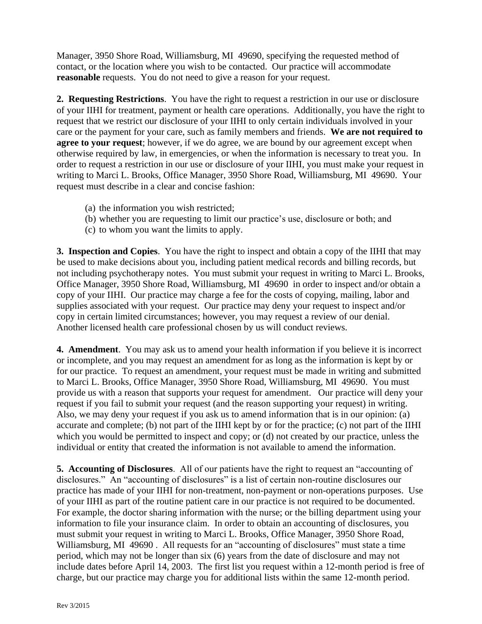Manager, 3950 Shore Road, Williamsburg, MI 49690, specifying the requested method of contact, or the location where you wish to be contacted. Our practice will accommodate **reasonable** requests. You do not need to give a reason for your request.

**2. Requesting Restrictions**. You have the right to request a restriction in our use or disclosure of your IIHI for treatment, payment or health care operations. Additionally, you have the right to request that we restrict our disclosure of your IIHI to only certain individuals involved in your care or the payment for your care, such as family members and friends. **We are not required to agree to your request**; however, if we do agree, we are bound by our agreement except when otherwise required by law, in emergencies, or when the information is necessary to treat you. In order to request a restriction in our use or disclosure of your IIHI, you must make your request in writing to Marci L. Brooks, Office Manager, 3950 Shore Road, Williamsburg, MI 49690. Your request must describe in a clear and concise fashion:

- (a) the information you wish restricted;
- (b) whether you are requesting to limit our practice's use, disclosure or both; and
- (c) to whom you want the limits to apply.

**3. Inspection and Copies**. You have the right to inspect and obtain a copy of the IIHI that may be used to make decisions about you, including patient medical records and billing records, but not including psychotherapy notes. You must submit your request in writing to Marci L. Brooks, Office Manager, 3950 Shore Road, Williamsburg, MI 49690 in order to inspect and/or obtain a copy of your IIHI. Our practice may charge a fee for the costs of copying, mailing, labor and supplies associated with your request. Our practice may deny your request to inspect and/or copy in certain limited circumstances; however, you may request a review of our denial. Another licensed health care professional chosen by us will conduct reviews.

**4. Amendment**. You may ask us to amend your health information if you believe it is incorrect or incomplete, and you may request an amendment for as long as the information is kept by or for our practice. To request an amendment, your request must be made in writing and submitted to Marci L. Brooks, Office Manager, 3950 Shore Road, Williamsburg, MI 49690. You must provide us with a reason that supports your request for amendment. Our practice will deny your request if you fail to submit your request (and the reason supporting your request) in writing. Also, we may deny your request if you ask us to amend information that is in our opinion: (a) accurate and complete; (b) not part of the IIHI kept by or for the practice; (c) not part of the IIHI which you would be permitted to inspect and copy; or (d) not created by our practice, unless the individual or entity that created the information is not available to amend the information.

**5. Accounting of Disclosures**. All of our patients have the right to request an "accounting of disclosures." An "accounting of disclosures" is a list of certain non-routine disclosures our practice has made of your IIHI for non-treatment, non-payment or non-operations purposes. Use of your IIHI as part of the routine patient care in our practice is not required to be documented. For example, the doctor sharing information with the nurse; or the billing department using your information to file your insurance claim. In order to obtain an accounting of disclosures, you must submit your request in writing to Marci L. Brooks, Office Manager, 3950 Shore Road, Williamsburg, MI 49690. All requests for an "accounting of disclosures" must state a time period, which may not be longer than six (6) years from the date of disclosure and may not include dates before April 14, 2003. The first list you request within a 12-month period is free of charge, but our practice may charge you for additional lists within the same 12-month period.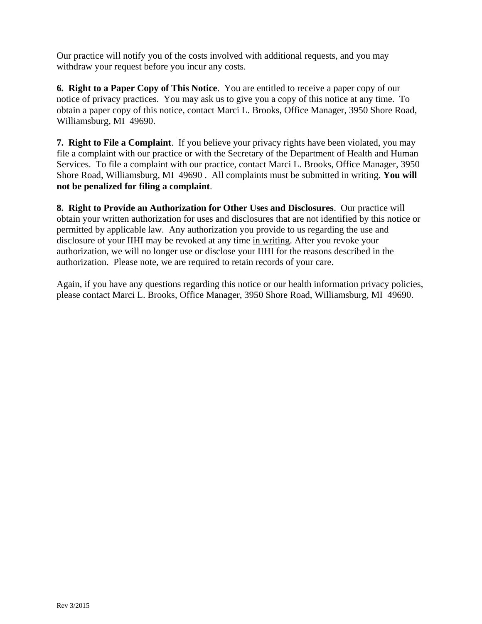Our practice will notify you of the costs involved with additional requests, and you may withdraw your request before you incur any costs.

**6. Right to a Paper Copy of This Notice**. You are entitled to receive a paper copy of our notice of privacy practices. You may ask us to give you a copy of this notice at any time. To obtain a paper copy of this notice, contact Marci L. Brooks, Office Manager, 3950 Shore Road, Williamsburg, MI 49690.

**7. Right to File a Complaint**. If you believe your privacy rights have been violated, you may file a complaint with our practice or with the Secretary of the Department of Health and Human Services. To file a complaint with our practice, contact Marci L. Brooks, Office Manager, 3950 Shore Road, Williamsburg, MI 49690 . All complaints must be submitted in writing. **You will not be penalized for filing a complaint**.

**8. Right to Provide an Authorization for Other Uses and Disclosures**. Our practice will obtain your written authorization for uses and disclosures that are not identified by this notice or permitted by applicable law. Any authorization you provide to us regarding the use and disclosure of your IIHI may be revoked at any time in writing. After you revoke your authorization, we will no longer use or disclose your IIHI for the reasons described in the authorization. Please note, we are required to retain records of your care.

Again, if you have any questions regarding this notice or our health information privacy policies, please contact Marci L. Brooks, Office Manager, 3950 Shore Road, Williamsburg, MI 49690.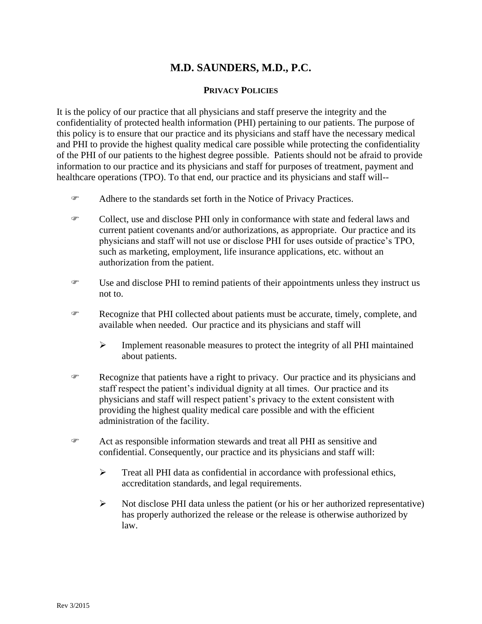## **M.D. SAUNDERS, M.D., P.C.**

#### **PRIVACY POLICIES**

It is the policy of our practice that all physicians and staff preserve the integrity and the confidentiality of protected health information (PHI) pertaining to our patients. The purpose of this policy is to ensure that our practice and its physicians and staff have the necessary medical and PHI to provide the highest quality medical care possible while protecting the confidentiality of the PHI of our patients to the highest degree possible. Patients should not be afraid to provide information to our practice and its physicians and staff for purposes of treatment, payment and healthcare operations (TPO). To that end, our practice and its physicians and staff will--

- Adhere to the standards set forth in the Notice of Privacy Practices.
- Collect, use and disclose PHI only in conformance with state and federal laws and current patient covenants and/or authorizations, as appropriate. Our practice and its physicians and staff will not use or disclose PHI for uses outside of practice's TPO, such as marketing, employment, life insurance applications, etc. without an authorization from the patient.
- Use and disclose PHI to remind patients of their appointments unless they instruct us not to.
- Recognize that PHI collected about patients must be accurate, timely, complete, and available when needed. Our practice and its physicians and staff will
	- $\triangleright$  Implement reasonable measures to protect the integrity of all PHI maintained about patients.
- Recognize that patients have a right to privacy. Our practice and its physicians and staff respect the patient's individual dignity at all times. Our practice and its physicians and staff will respect patient's privacy to the extent consistent with providing the highest quality medical care possible and with the efficient administration of the facility.
- Act as responsible information stewards and treat all PHI as sensitive and confidential. Consequently, our practice and its physicians and staff will:
	- Treat all PHI data as confidential in accordance with professional ethics, accreditation standards, and legal requirements.
	- $\triangleright$  Not disclose PHI data unless the patient (or his or her authorized representative) has properly authorized the release or the release is otherwise authorized by law.